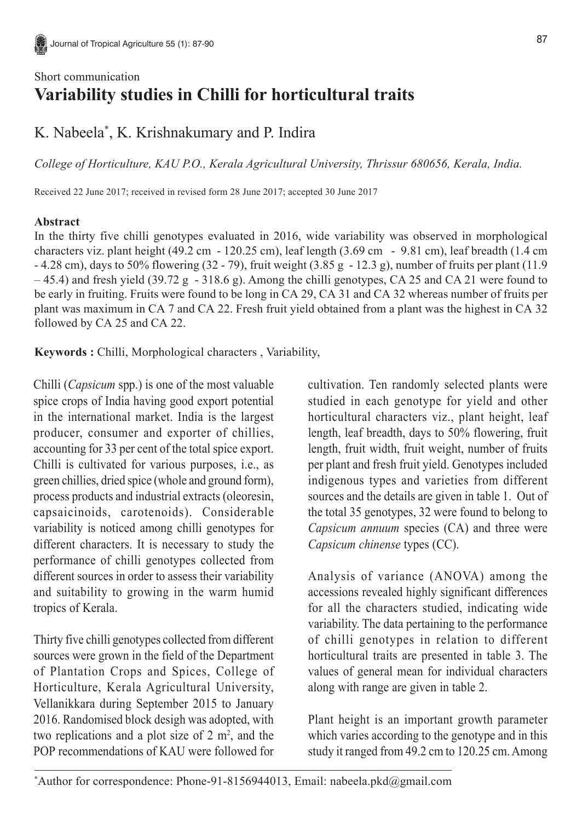## Short communication **Variability studies in Chilli for horticultural traits**

## K. Nabeela\* , K. Krishnakumary and P. Indira

*College of Horticulture, KAU P.O., Kerala Agricultural University, Thrissur 680656, Kerala, India.*

Received 22 June 2017; received in revised form 28 June 2017; accepted 30 June 2017

## **Abstract**

In the thirty five chilli genotypes evaluated in 2016, wide variability was observed in morphological characters viz. plant height (49.2 cm - 120.25 cm), leaf length (3.69 cm - 9.81 cm), leaf breadth (1.4 cm - 4.28 cm), days to 50% flowering (32 - 79), fruit weight (3.85 g - 12.3 g), number of fruits per plant (11.9 – 45.4) and fresh yield (39.72 g - 318.6 g). Among the chilli genotypes, CA 25 and CA 21 were found to be early in fruiting. Fruits were found to be long in CA 29, CA 31 and CA 32 whereas number of fruits per plant was maximum in CA 7 and CA 22. Fresh fruit yield obtained from a plant was the highest in CA 32 followed by CA 25 and CA 22.

**Keywords :** Chilli, Morphological characters , Variability,

Chilli (*Capsicum* spp.) is one of the most valuable spice crops of India having good export potential in the international market. India is the largest producer, consumer and exporter of chillies, accounting for 33 per cent of the total spice export. Chilli is cultivated for various purposes, i.e., as green chillies, dried spice (whole and ground form), process products and industrial extracts (oleoresin, capsaicinoids, carotenoids). Considerable variability is noticed among chilli genotypes for different characters. It is necessary to study the performance of chilli genotypes collected from different sources in order to assess their variability and suitability to growing in the warm humid tropics of Kerala.

Thirty five chilli genotypes collected from different sources were grown in the field of the Department of Plantation Crops and Spices, College of Horticulture, Kerala Agricultural University, Vellanikkara during September 2015 to January 2016. Randomised block desigh was adopted, with two replications and a plot size of  $2 \text{ m}^2$ , and the POP recommendations of KAU were followed for

cultivation. Ten randomly selected plants were studied in each genotype for yield and other horticultural characters viz., plant height, leaf length, leaf breadth, days to 50% flowering, fruit length, fruit width, fruit weight, number of fruits per plant and fresh fruit yield. Genotypes included indigenous types and varieties from different sources and the details are given in table 1. Out of the total 35 genotypes, 32 were found to belong to *Capsicum annuum* species (CA) and three were *Capsicum chinense* types (CC).

Analysis of variance (ANOVA) among the accessions revealed highly significant differences for all the characters studied, indicating wide variability. The data pertaining to the performance of chilli genotypes in relation to different horticultural traits are presented in table 3. The values of general mean for individual characters along with range are given in table 2.

Plant height is an important growth parameter which varies according to the genotype and in this study it ranged from 49.2 cm to 120.25 cm. Among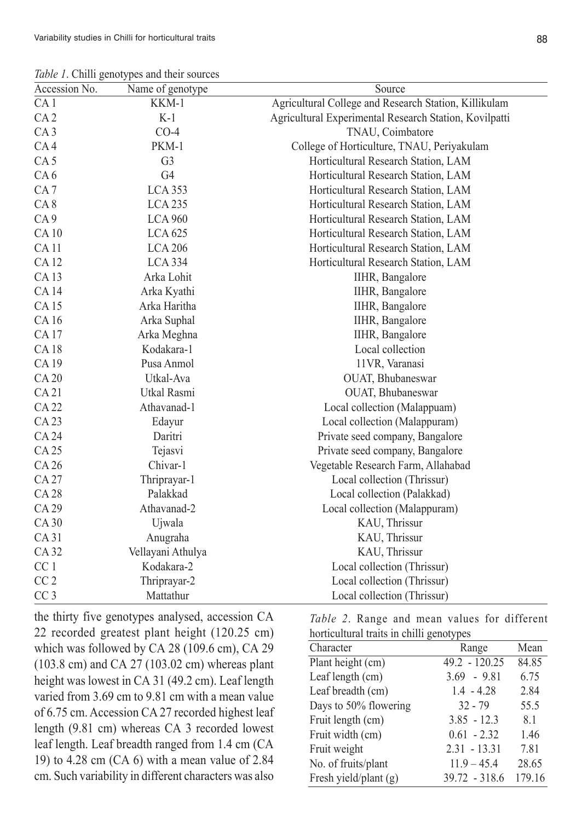*Table 1*. Chilli genotypes and their sources

|                 | <i>rable 1</i> . Chain genotypes and then sources |                                                        |  |  |  |  |
|-----------------|---------------------------------------------------|--------------------------------------------------------|--|--|--|--|
| Accession No.   | Name of genotype                                  | Source                                                 |  |  |  |  |
| CA <sub>1</sub> | KKM-1                                             | Agricultural College and Research Station, Killikulam  |  |  |  |  |
| CA <sub>2</sub> | $K-1$                                             | Agricultural Experimental Research Station, Kovilpatti |  |  |  |  |
| CA <sub>3</sub> | $CO-4$                                            | TNAU, Coimbatore                                       |  |  |  |  |
| CA4             | PKM-1                                             | College of Horticulture, TNAU, Periyakulam             |  |  |  |  |
| CA <sub>5</sub> | G <sub>3</sub>                                    | Horticultural Research Station, LAM                    |  |  |  |  |
| CA <sub>6</sub> | G <sub>4</sub>                                    | Horticultural Research Station, LAM                    |  |  |  |  |
| CA <sub>7</sub> | <b>LCA 353</b>                                    | Horticultural Research Station, LAM                    |  |  |  |  |
| CA <sub>8</sub> | <b>LCA 235</b>                                    | Horticultural Research Station, LAM                    |  |  |  |  |
| CA <sub>9</sub> | <b>LCA 960</b>                                    | Horticultural Research Station, LAM                    |  |  |  |  |
| <b>CA10</b>     | <b>LCA 625</b>                                    | Horticultural Research Station, LAM                    |  |  |  |  |
| <b>CA11</b>     | <b>LCA 206</b>                                    | Horticultural Research Station, LAM                    |  |  |  |  |
| <b>CA12</b>     | <b>LCA 334</b>                                    | Horticultural Research Station, LAM                    |  |  |  |  |
| <b>CA13</b>     | Arka Lohit                                        | IIHR, Bangalore                                        |  |  |  |  |
| <b>CA14</b>     | Arka Kyathi                                       | IIHR, Bangalore                                        |  |  |  |  |
| <b>CA15</b>     | Arka Haritha                                      | IIHR, Bangalore                                        |  |  |  |  |
| CA 16           | Arka Suphal                                       | IIHR, Bangalore                                        |  |  |  |  |
| <b>CA17</b>     | Arka Meghna                                       | IIHR, Bangalore                                        |  |  |  |  |
| <b>CA18</b>     | Kodakara-1                                        | Local collection                                       |  |  |  |  |
| CA 19           | Pusa Anmol                                        | 11VR, Varanasi                                         |  |  |  |  |
| <b>CA 20</b>    | Utkal-Ava                                         | OUAT, Bhubaneswar                                      |  |  |  |  |
| <b>CA21</b>     | Utkal Rasmi                                       | OUAT, Bhubaneswar                                      |  |  |  |  |
| CA 22           | Athavanad-1                                       | Local collection (Malappuam)                           |  |  |  |  |
| <b>CA23</b>     | Edayur                                            | Local collection (Malappuram)                          |  |  |  |  |
| <b>CA 24</b>    | Daritri                                           | Private seed company, Bangalore                        |  |  |  |  |
| <b>CA 25</b>    | Tejasvi                                           | Private seed company, Bangalore                        |  |  |  |  |
| CA 26           | Chivar-1                                          | Vegetable Research Farm, Allahabad                     |  |  |  |  |
| <b>CA 27</b>    | Thriprayar-1                                      | Local collection (Thrissur)                            |  |  |  |  |
| <b>CA28</b>     | Palakkad                                          | Local collection (Palakkad)                            |  |  |  |  |
| CA 29           | Athavanad-2                                       | Local collection (Malappuram)                          |  |  |  |  |
| <b>CA30</b>     | Ujwala                                            | KAU, Thrissur                                          |  |  |  |  |
| CA 31           | Anugraha                                          | KAU, Thrissur                                          |  |  |  |  |
| <b>CA32</b>     | Vellayani Athulya                                 | KAU, Thrissur                                          |  |  |  |  |
| CC <sub>1</sub> | Kodakara-2                                        | Local collection (Thrissur)                            |  |  |  |  |
| CC <sub>2</sub> | Thriprayar-2                                      | Local collection (Thrissur)                            |  |  |  |  |
| CC <sub>3</sub> | Mattathur                                         | Local collection (Thrissur)                            |  |  |  |  |
|                 |                                                   |                                                        |  |  |  |  |

the thirty five genotypes analysed, accession CA 22 recorded greatest plant height (120.25 cm) which was followed by CA 28 (109.6 cm), CA 29 (103.8 cm) and CA 27 (103.02 cm) whereas plant height was lowest in CA 31 (49.2 cm). Leaf length varied from 3.69 cm to 9.81 cm with a mean value of 6.75 cm. Accession CA 27 recorded highest leaf length (9.81 cm) whereas CA 3 recorded lowest leaf length. Leaf breadth ranged from 1.4 cm (CA 19) to 4.28 cm (CA 6) with a mean value of 2.84 cm. Such variability in different characters was also

*Table 2*. Range and mean values for different horticultural traits in chilli genotypes

| Character             | Range           | Mean   |
|-----------------------|-----------------|--------|
| Plant height (cm)     | $49.2 - 120.25$ | 84.85  |
| Leaf length (cm)      | $3.69 - 9.81$   | 6.75   |
| Leaf breadth (cm)     | $1.4 - 4.28$    | 2.84   |
| Days to 50% flowering | $32 - 79$       | 55.5   |
| Fruit length (cm)     | $3.85 - 12.3$   | 8.1    |
| Fruit width (cm)      | $0.61 - 2.32$   | 1.46   |
| Fruit weight          | $2.31 - 13.31$  | 7.81   |
| No. of fruits/plant   | $11.9 - 45.4$   | 28.65  |
| Fresh yield/plant (g) | 39.72 - 318.6   | 179.16 |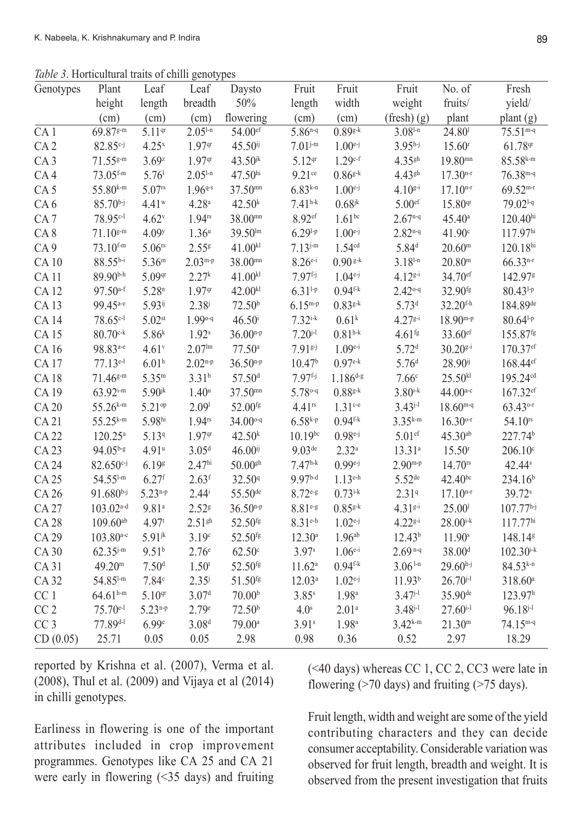Table 3. Horticultural traits of chilli genotypes

| Genotypes       | Plant                   | Leaf                 | Leaf                | Daysto               | Fruit              | Fruit               | Fruit                | No. of              | Fresh                   |
|-----------------|-------------------------|----------------------|---------------------|----------------------|--------------------|---------------------|----------------------|---------------------|-------------------------|
|                 | height                  | length               | breadth             | 50%                  | length             | width               | weight               | fruits/             | yield/                  |
|                 | (cm)                    | (cm)                 | (cm)                | flowering            | (cm)               | (cm)                | (fresh)(g)           | plant               | plant (g)               |
| CA <sub>1</sub> | 69.87g-m                | 5.11 <sup>qr</sup>   | $2.051-n$           | 54.00ef              | $5.86^{n-q}$       | $0.89g-k$           | $3.081-n$            | 24.80 <sup>1</sup>  | $75.51m-q$              |
| CA <sub>2</sub> | $82.85c-j$              | $4.25^{x}$           | 1.97 <sup>qr</sup>  | $45.50^{ij}$         | $7.01^{j-m}$       | $1.00^{e-j}$        | $3.95h-j$            | 15.60 <sup>r</sup>  | 61.78 <sup>qr</sup>     |
| CA <sub>3</sub> | $71.55^{g-m}$           | 3.69z                | 1.97 <sup>qr</sup>  | $43.50^{jk}$         | $5.12^{qr}$        | $1.29^{c-f}$        | $4.35$ gh            | $19.80^{mn}$        | $85.58$ k-m             |
| CA4             | $73.05$ f-m             | 5.76 <sup>1</sup>    | $2.051-n$           | 47.50hi              | $9.21$ ce          | $0.86g-k$           | $4.43$ <sup>gh</sup> | $17.30n-r$          | $76.38m-q$              |
| CA <sub>5</sub> | $55.80^{k-m}$           | $5.07$ rs            | $1.96^{q-s}$        | $37.50^{mn}$         | $6.83^{k-n}$       | $1.00^{e-j}$        | $4.10^{g-i}$         | $17.10^{n-r}$       | $69.52m-r$              |
| CA6             | $85.70^{b-j}$           | $4.41$ <sup>w</sup>  | 4.28 <sup>a</sup>   | 42.50 <sup>k</sup>   | $7.41^{h-k}$       | $0.68^{jk}$         | 5.00 <sup>ef</sup>   | 15.80 <sup>qr</sup> | 79.02 <sup>1-q</sup>    |
| CA <sub>7</sub> | 78.95c-l                | $4.62^v$             | $1.94$ rs           | $38.00^{mn}$         | $8.92$ ef          | $1.61^{bc}$         | $2.67^{n-q}$         | $45.40^{\circ}$     | $120.40^{hi}$           |
| CA8             | $71.10^{g-m}$           | 4.09 <sup>y</sup>    | 1.36 <sup>u</sup>   | 39.50 <sup>lm</sup>  | $6.29^{1-p}$       | $1.00^{e-j}$        | $2.82^{n-q}$         | 41.90 <sup>c</sup>  | 117.97hi                |
| CA9             | $73.10$ f-m             | $5.06$ rs            | 2.55 <sup>g</sup>   | 41.00 <sup>kl</sup>  | $7.13^{j-m}$       | 1.54 <sup>cd</sup>  | 5.84 <sup>d</sup>    | $20.60^{\rm m}$     | 120.18 <sup>hi</sup>    |
| <b>CA10</b>     | 88.55b-i                | $5.36^{\rm m}$       | $2.03^{m-p}$        | $38.00^{mn}$         | $8.26e^{-i}$       | $0.90$ g-k          | $3.18^{1-n}$         | $20.80^{\rm m}$     | $66.33^{n-r}$           |
| <b>CA11</b>     | 89.90b-h                | 5.09 <sup>qr</sup>   | 2.27 <sup>k</sup>   | 41.00 <sup>kl</sup>  | $7.97f{j}$         | $1.04^{e-j}$        | $4.12^{g-i}$         | 34.70 <sup>ef</sup> | 142.97 <sup>g</sup>     |
| <b>CA12</b>     | $97.50$ a-f             | 5.28 <sup>n</sup>    | 1.97 <sup>qr</sup>  | 42.00 <sup>kl</sup>  | $6.31^{1-p}$       | $0.94^{f-k}$        | $2.42^{\circ q}$     | 32.90 <sup>fg</sup> | $80.43^{1-p}$           |
| <b>CA13</b>     | 99.45 <sup>a-e</sup>    | 5.93ij               | $2.38^{j}$          | 72.50 <sup>b</sup>   | $6.15^{m-p}$       | $0.83^{g-k}$        | 5.73 <sup>d</sup>    | $32.20$ f-h         | 184.89de                |
| <b>CA14</b>     | 78.65 <sup>c-1</sup>    | $5.02$ st            | 1.99°9              | $46.50^{i}$          | $7.32^{i-k}$       | 0.61 <sup>k</sup>   | $4.27g-i$            | $18.90^{m-p}$       | $80.64^{1-p}$           |
| <b>CA15</b>     | $80.70^{\text{c-k}}$    | $5.86^{k}$           | 1.92 <sup>s</sup>   | $36.00^{n-p}$        | $7.20^{j-1}$       | $0.81^{h-k}$        | $4.61$ <sup>fg</sup> | 33.60ef             | 155.87 <sup>fg</sup>    |
| CA 16           | 98.83 <sup>a-e</sup>    | $4.61$ <sup>v</sup>  | 2.07 <sup>lm</sup>  | $77.50$ <sup>a</sup> | $7.91s-j$          | $1.09^{e-i}$        | 5.72 <sup>d</sup>    | $30.20$ g-i         | 170.37ef                |
| <b>CA17</b>     | 77.13e-l                | 6.01 <sup>h</sup>    | $2.02^{n-p}$        | $36.50^{n-p}$        | 10.47 <sup>b</sup> | $0.97^{\text{e-k}}$ | 5.76 <sup>d</sup>    | 28.90ij             | 168.44 <sup>ef</sup>    |
| <b>CA18</b>     | $71.46^{g-m}$           | $5.35^{\rm m}$       | $3.31^{b}$          | 57.50 <sup>d</sup>   | $7.97f{j}$         | $1.186^{d-g}$       | 7.66c                | 25.50 <sup>kl</sup> | 195.24 <sup>cd</sup>    |
| CA 19           | $63.92^{i-m}$           | $5.90$ <sup>jk</sup> | 1.40 <sup>u</sup>   | 37.50mm              | 5.78 °- 9          | $0.88g-k$           | $3.80^{i-k}$         | $44.00^{a-c}$       | $167.32$ ef             |
| <b>CA 20</b>    | $55.26^{k-m}$           | 5.21 <sup>op</sup>   | 2.09 <sup>1</sup>   | 52.00 <sup>fg</sup>  | $4.41$ rs          | $1.31$ c-e          | $3.43^{j-l}$         | $18.60^{m-q}$       | 63.43 °                 |
| CA21            | $55.25^{k-m}$           | 5.98hi               | $1.94$ rs           | 34.00 <sup>o-q</sup> | $6.58k-p$          | $0.94^{\text{f-k}}$ | $3.35^{k-m}$         | $16.30^{\circ r}$   | 54.10 <sup>rs</sup>     |
| <b>CA22</b>     | $120.25^a$              | 5.139                | 1.97 <sup>qr</sup>  | 42.50 <sup>k</sup>   | $10.19^{bc}$       | $0.98^{e-j}$        | $5.01$ ef            | $45.30^{ab}$        | 227.74 <sup>b</sup>     |
| <b>CA23</b>     | $94.05^{b-g}$           | $4.91^u$             | 3.05 <sup>d</sup>   | $46.00^{ij}$         | 9.03 <sup>de</sup> | $2.32^{a}$          | $13.31^{a}$          | 15.50 <sup>r</sup>  | $206.10^{\circ}$        |
| <b>CA 24</b>    | $82.650c - j$           | 6.19g                | 2.47 <sup>hi</sup>  | $50.00$ gh           | $7.47^{h-k}$       | $0.99^{e-j}$        | $2.90m-p$            | 14.70 <sup>rs</sup> | 42.44 <sup>s</sup>      |
| <b>CA25</b>     | $54.55^{1-m}$           | 6.27 <sup>f</sup>    | 2.63 <sup>f</sup>   | 32.50 <sup>q</sup>   | $9.97b-d$          | $1.13^{e-h}$        | $5.52$ <sup>de</sup> | $42.40^{bc}$        | 234.16 <sup>b</sup>     |
| CA 26           | $91.680^{b-j}$          | $5.23^{n-p}$         | $2.44^{i}$          | 55.50 <sup>de</sup>  | $8.72e-g$          | $0.73^{i-k}$        | 2.319                | $17.10^{n-r}$       | 39.72 <sup>s</sup>      |
| <b>CA27</b>     | $103.02$ <sup>a-d</sup> | $9.81^{a}$           | $2.52$ <sup>g</sup> | $36.50^{n-p}$        | $8.81e-g$          | $0.85^{g-k}$        | $4.31g-i$            | 25.00 <sup>1</sup>  | $107.77h-j$             |
| <b>CA28</b>     | $109.60^{ab}$           | 4.97t                | 2.51 <sup>gh</sup>  | 52.50 <sup>fg</sup>  | $8.31$ e-h         | $1.02^{e-j}$        | $4.22^{g-i}$         | $28.00^{i-k}$       | 117.77hi                |
| CA 29           | $103.80^{a-c}$          | $5.91^{jk}$          | 3.19 <sup>c</sup>   | 52.50 <sup>fg</sup>  | $12.30^a$          | 1.96 <sup>ab</sup>  | 12.43 <sup>b</sup>   | 11.90 <sup>s</sup>  | 148.14 <sup>g</sup>     |
| <b>CA30</b>     | $62.35^{j-m}$           | $9.51^{b}$           | 2.76 <sup>e</sup>   | 62.50 <sup>c</sup>   | 3.97 <sup>s</sup>  | $1.06^{e-i}$        | $2.69n-q$            | 38.00 <sup>d</sup>  | $102.30^{\mathrm{i-k}}$ |
| CA 31           | 49.20 <sup>m</sup>      | 7.50 <sup>d</sup>    | 1.50 <sup>t</sup>   | 52.50 <sup>fg</sup>  | 11.62 <sup>a</sup> | $0.94^{f-k}$        | $3.061-n$            | $29.60h-j$          | $84.53^{k-n}$           |
| <b>CA32</b>     | 54.85 <sup>1-m</sup>    | 7.84c                | $2.35^{j}$          | 51.50 <sup>fg</sup>  | $12.03^a$          | $1.02^{e-j}$        | 11.93 <sup>b</sup>   | $26.70^{j-1}$       | 318.60a                 |
| CC <sub>1</sub> | $64.61^{h-m}$           | 5.10 <sup>qr</sup>   | 3.07 <sup>d</sup>   | 70.00 <sup>b</sup>   | $3.85^{s}$         | 1.98 <sup>a</sup>   | $3.47^{j-1}$         | 35.90 <sup>de</sup> | 123.97h                 |
| CC <sub>2</sub> | $75.70e^{-1}$           | $5.23^{n-p}$         | 2.79e               | 72.50 <sup>b</sup>   | 4.0 <sup>s</sup>   | 2.01a               | $3.48^{j-1}$         | $27.60^{i-1}$       | $96.18^{j-l}$           |
| CC <sub>3</sub> | 77.89d-l                | 6.99e                | 3.08 <sup>d</sup>   | $79.00^{\circ}$      | 3.91s              | 1.98 <sup>a</sup>   | $3.42^{k-m}$         | 21.30 <sup>m</sup>  | $74.15^{m-q}$           |
| CD(0.05)        | 25.71                   | 0.05                 | 0.05                | 2.98                 | 0.98               | 0.36                | 0.52                 | 2.97                | 18.29                   |

reported by Krishna et al. (2007), Verma et al.  $(2008)$ , Thul et al.  $(2009)$  and Vijaya et al  $(2014)$ in chilli genotypes.

Earliness in flowering is one of the important attributes included in crop improvement programmes. Genotypes like CA 25 and CA 21 were early in flowering (<35 days) and fruiting

(<40 days) whereas CC 1, CC 2, CC3 were late in flowering  $($ >70 days) and fruiting  $($ >75 days).

Fruit length, width and weight are some of the yield contributing characters and they can decide consumer acceptability. Considerable variation was observed for fruit length, breadth and weight. It is observed from the present investigation that fruits